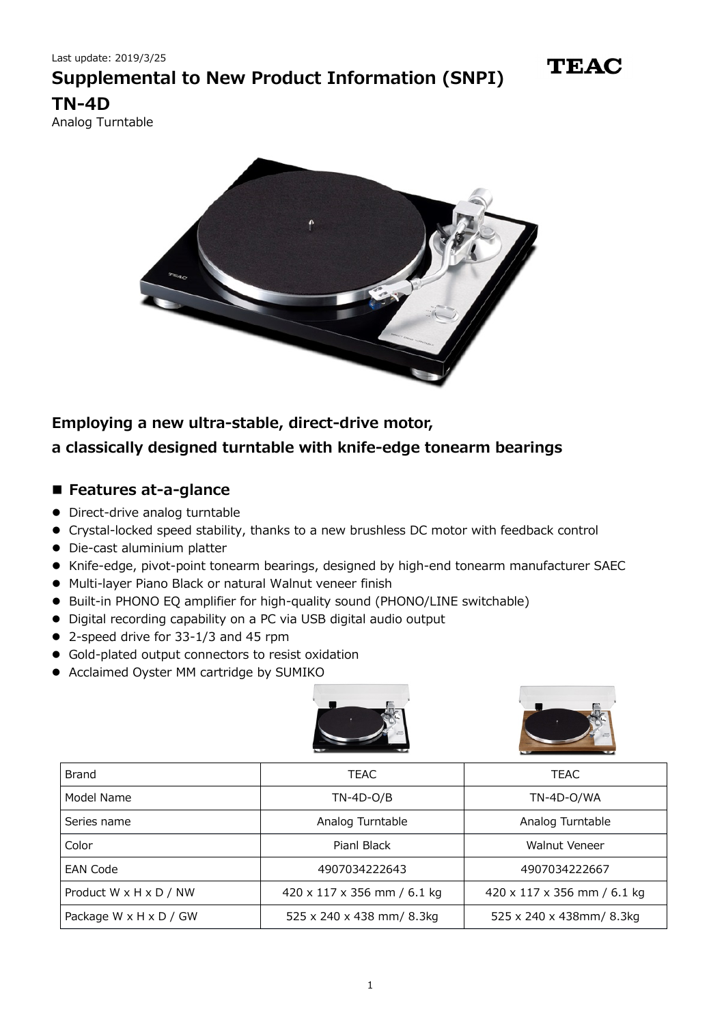

Analog Turntable



#### **Employing a new ultra-stable, direct-drive motor,**

### **a classically designed turntable with knife-edge tonearm bearings**

#### **Features at-a-glance**

- Direct-drive analog turntable
- Crystal-locked speed stability, thanks to a new brushless DC motor with feedback control
- Die-cast aluminium platter
- Knife-edge, pivot-point tonearm bearings, designed by high-end tonearm manufacturer SAEC
- Multi-layer Piano Black or natural Walnut veneer finish
- Built-in PHONO EQ amplifier for high-quality sound (PHONO/LINE switchable)
- Digital recording capability on a PC via USB digital audio output
- 2-speed drive for 33-1/3 and 45 rpm
- Gold-plated output connectors to resist oxidation
- Acclaimed Oyster MM cartridge by SUMIKO





| <b>Brand</b>           | <b>TEAC</b>                 | <b>TEAC</b>                 |
|------------------------|-----------------------------|-----------------------------|
| Model Name             | $TN-4D-O/B$                 | TN-4D-O/WA                  |
| Series name            | Analog Turntable            | Analog Turntable            |
| Color                  | Pianl Black                 | Walnut Veneer               |
| <b>EAN Code</b>        | 4907034222643               | 4907034222667               |
| Product W x H x D / NW | 420 x 117 x 356 mm / 6.1 kg | 420 x 117 x 356 mm / 6.1 kg |
| Package W x H x D / GW | 525 x 240 x 438 mm/ 8.3kg   | 525 x 240 x 438mm/ 8.3kg    |

**TEAC**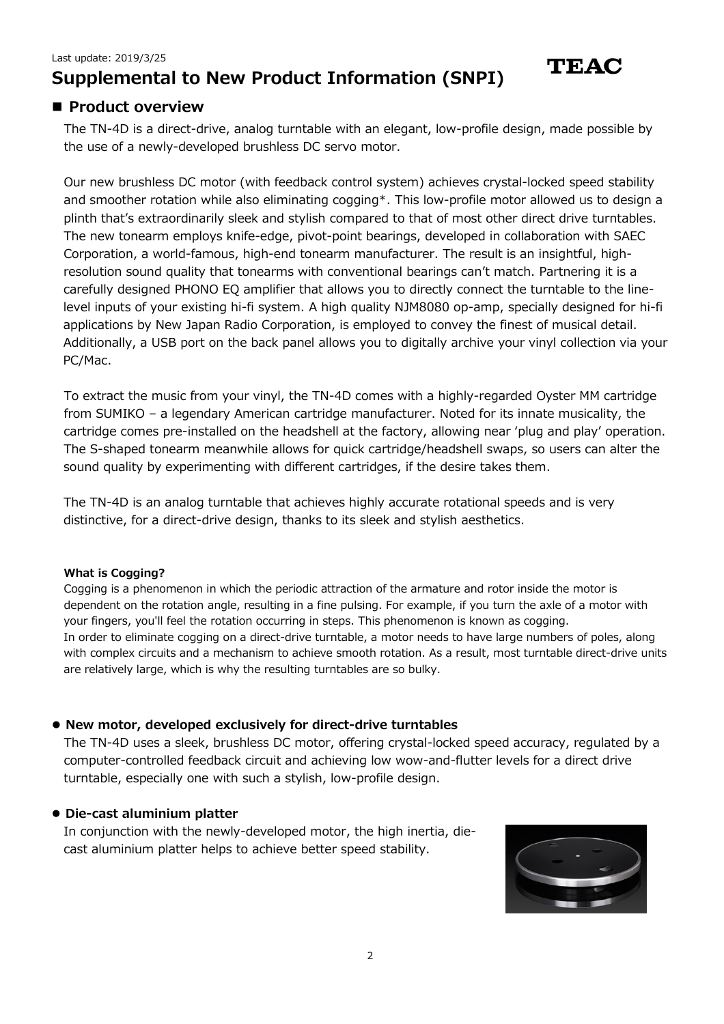### **Product overview**

The TN-4D is a direct-drive, analog turntable with an elegant, low-profile design, made possible by the use of a newly-developed brushless DC servo motor.

Our new brushless DC motor (with feedback control system) achieves crystal-locked speed stability and smoother rotation while also eliminating cogging\*. This low-profile motor allowed us to design a plinth that's extraordinarily sleek and stylish compared to that of most other direct drive turntables. The new tonearm employs knife-edge, pivot-point bearings, developed in collaboration with SAEC Corporation, a world-famous, high-end tonearm manufacturer. The result is an insightful, highresolution sound quality that tonearms with conventional bearings can't match. Partnering it is a carefully designed PHONO EQ amplifier that allows you to directly connect the turntable to the linelevel inputs of your existing hi-fi system. A high quality NJM8080 op-amp, specially designed for hi-fi applications by New Japan Radio Corporation, is employed to convey the finest of musical detail. Additionally, a USB port on the back panel allows you to digitally archive your vinyl collection via your PC/Mac.

To extract the music from your vinyl, the TN-4D comes with a highly-regarded Oyster MM cartridge from SUMIKO – a legendary American cartridge manufacturer. Noted for its innate musicality, the cartridge comes pre-installed on the headshell at the factory, allowing near 'plug and play' operation. The S-shaped tonearm meanwhile allows for quick cartridge/headshell swaps, so users can alter the sound quality by experimenting with different cartridges, if the desire takes them.

The TN-4D is an analog turntable that achieves highly accurate rotational speeds and is very distinctive, for a direct-drive design, thanks to its sleek and stylish aesthetics.

#### **What is Cogging?**

Cogging is a phenomenon in which the periodic attraction of the armature and rotor inside the motor is dependent on the rotation angle, resulting in a fine pulsing. For example, if you turn the axle of a motor with your fingers, you'll feel the rotation occurring in steps. This phenomenon is known as cogging. In order to eliminate cogging on a direct-drive turntable, a motor needs to have large numbers of poles, along with complex circuits and a mechanism to achieve smooth rotation. As a result, most turntable direct-drive units are relatively large, which is why the resulting turntables are so bulky.

#### **New motor, developed exclusively for direct-drive turntables**

The TN-4D uses a sleek, brushless DC motor, offering crystal-locked speed accuracy, regulated by a computer-controlled feedback circuit and achieving low wow-and-flutter levels for a direct drive turntable, especially one with such a stylish, low-profile design.

#### **Die-cast aluminium platter**

In conjunction with the newly-developed motor, the high inertia, diecast aluminium platter helps to achieve better speed stability.

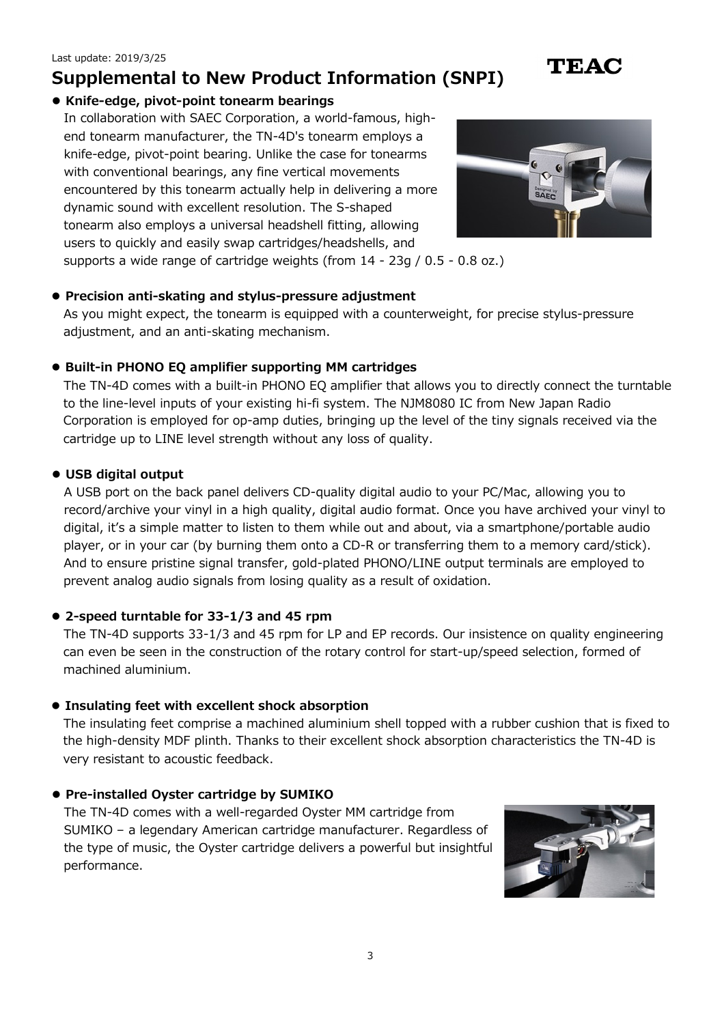#### **Knife-edge, pivot-point tonearm bearings**

In collaboration with SAEC Corporation, a world-famous, highend tonearm manufacturer, the TN-4D's tonearm employs a knife-edge, pivot-point bearing. Unlike the case for tonearms with conventional bearings, any fine vertical movements encountered by this tonearm actually help in delivering a more dynamic sound with excellent resolution. The S-shaped tonearm also employs a universal headshell fitting, allowing users to quickly and easily swap cartridges/headshells, and



**TEAC** 

supports a wide range of cartridge weights (from 14 - 23g / 0.5 - 0.8 oz.)

#### **Precision anti-skating and stylus-pressure adjustment**

As you might expect, the tonearm is equipped with a counterweight, for precise stylus-pressure adjustment, and an anti-skating mechanism.

#### **Built-in PHONO EQ amplifier supporting MM cartridges**

The TN-4D comes with a built-in PHONO EQ amplifier that allows you to directly connect the turntable to the line-level inputs of your existing hi-fi system. The NJM8080 IC from New Japan Radio Corporation is employed for op-amp duties, bringing up the level of the tiny signals received via the cartridge up to LINE level strength without any loss of quality.

#### **USB digital output**

A USB port on the back panel delivers CD-quality digital audio to your PC/Mac, allowing you to record/archive your vinyl in a high quality, digital audio format. Once you have archived your vinyl to digital, it's a simple matter to listen to them while out and about, via a smartphone/portable audio player, or in your car (by burning them onto a CD-R or transferring them to a memory card/stick). And to ensure pristine signal transfer, gold-plated PHONO/LINE output terminals are employed to prevent analog audio signals from losing quality as a result of oxidation.

#### **2-speed turntable for 33-1/3 and 45 rpm**

The TN-4D supports 33-1/3 and 45 rpm for LP and EP records. Our insistence on quality engineering can even be seen in the construction of the rotary control for start-up/speed selection, formed of machined aluminium.

#### **Insulating feet with excellent shock absorption**

The insulating feet comprise a machined aluminium shell topped with a rubber cushion that is fixed to the high-density MDF plinth. Thanks to their excellent shock absorption characteristics the TN-4D is very resistant to acoustic feedback.

#### **Pre-installed Oyster cartridge by SUMIKO**

The TN-4D comes with a well-regarded Oyster MM cartridge from SUMIKO – a legendary American cartridge manufacturer. Regardless of the type of music, the Oyster cartridge delivers a powerful but insightful performance.

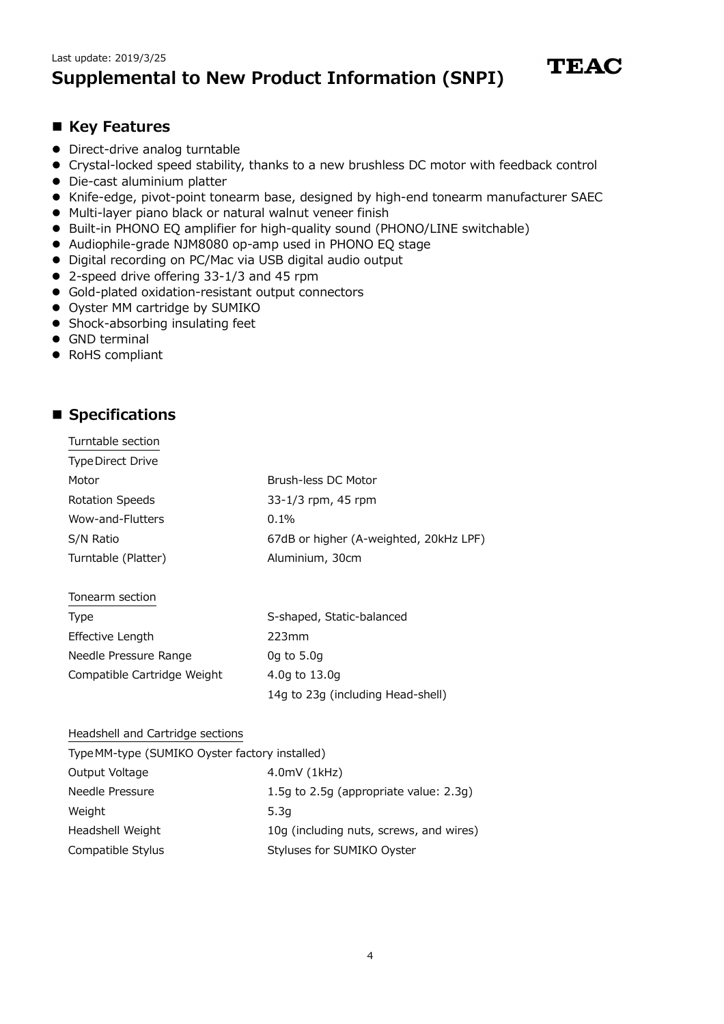

#### **Key Features**

- Direct-drive analog turntable
- Crystal-locked speed stability, thanks to a new brushless DC motor with feedback control
- Die-cast aluminium platter
- Knife-edge, pivot-point tonearm base, designed by high-end tonearm manufacturer SAEC
- Multi-layer piano black or natural walnut veneer finish
- Built-in PHONO EQ amplifier for high-quality sound (PHONO/LINE switchable)
- Audiophile-grade NJM8080 op-amp used in PHONO EQ stage
- Digital recording on PC/Mac via USB digital audio output
- 2-speed drive offering 33-1/3 and 45 rpm
- Gold-plated oxidation-resistant output connectors
- Oyster MM cartridge by SUMIKO
- Shock-absorbing insulating feet
- GND terminal
- RoHS compliant

### ■ Specifications

| Turntable section        |                                        |
|--------------------------|----------------------------------------|
| <b>Type Direct Drive</b> |                                        |
| Motor                    | Brush-less DC Motor                    |
| <b>Rotation Speeds</b>   | 33-1/3 rpm, 45 rpm                     |
| Wow-and-Flutters         | $0.1\%$                                |
| S/N Ratio                | 67dB or higher (A-weighted, 20kHz LPF) |
| Turntable (Platter)      | Aluminium, 30cm                        |
|                          |                                        |

| Tonearm section             |                                   |
|-----------------------------|-----------------------------------|
| Type                        | S-shaped, Static-balanced         |
| Effective Length            | 223mm                             |
| Needle Pressure Range       | $0q$ to 5.0 $q$                   |
| Compatible Cartridge Weight | 4.0g to 13.0g                     |
|                             | 14g to 23g (including Head-shell) |

#### Headshell and Cartridge sections

| Type MM-type (SUMIKO Oyster factory installed) |                                         |
|------------------------------------------------|-----------------------------------------|
| Output Voltage                                 | 4.0mV(1kHz)                             |
| Needle Pressure                                | 1.5g to 2.5g (appropriate value: 2.3g)  |
| Weight                                         | 5.3q                                    |
| Headshell Weight                               | 10g (including nuts, screws, and wires) |
| Compatible Stylus                              | Styluses for SUMIKO Oyster              |